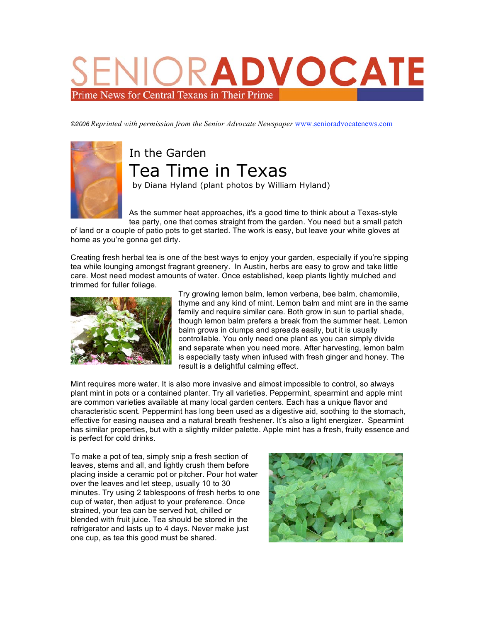## RADVOCAT Prime News for Central Texans in Their Prime

*©2006 Reprinted with permission from the Senior Advocate Newspaper* www.senioradvocatenews.com



## In the Garden Tea Time in Texas by Diana Hyland (plant photos by William Hyland)

As the summer heat approaches, it's a good time to think about a Texas-style tea party, one that comes straight from the garden. You need but a small patch

of land or a couple of patio pots to get started. The work is easy, but leave your white gloves at home as you're gonna get dirty.

Creating fresh herbal tea is one of the best ways to enjoy your garden, especially if you're sipping tea while lounging amongst fragrant greenery. In Austin, herbs are easy to grow and take little care. Most need modest amounts of water. Once established, keep plants lightly mulched and trimmed for fuller foliage.



Try growing lemon balm, lemon verbena, bee balm, chamomile, thyme and any kind of mint. Lemon balm and mint are in the same family and require similar care. Both grow in sun to partial shade, though lemon balm prefers a break from the summer heat. Lemon balm grows in clumps and spreads easily, but it is usually controllable. You only need one plant as you can simply divide and separate when you need more. After harvesting, lemon balm is especially tasty when infused with fresh ginger and honey. The result is a delightful calming effect.

Mint requires more water. It is also more invasive and almost impossible to control, so always plant mint in pots or a contained planter. Try all varieties. Peppermint, spearmint and apple mint are common varieties available at many local garden centers. Each has a unique flavor and characteristic scent. Peppermint has long been used as a digestive aid, soothing to the stomach, effective for easing nausea and a natural breath freshener. It's also a light energizer. Spearmint has similar properties, but with a slightly milder palette. Apple mint has a fresh, fruity essence and is perfect for cold drinks.

To make a pot of tea, simply snip a fresh section of leaves, stems and all, and lightly crush them before placing inside a ceramic pot or pitcher. Pour hot water over the leaves and let steep, usually 10 to 30 minutes. Try using 2 tablespoons of fresh herbs to one cup of water, then adjust to your preference. Once strained, your tea can be served hot, chilled or blended with fruit juice. Tea should be stored in the refrigerator and lasts up to 4 days. Never make just one cup, as tea this good must be shared.